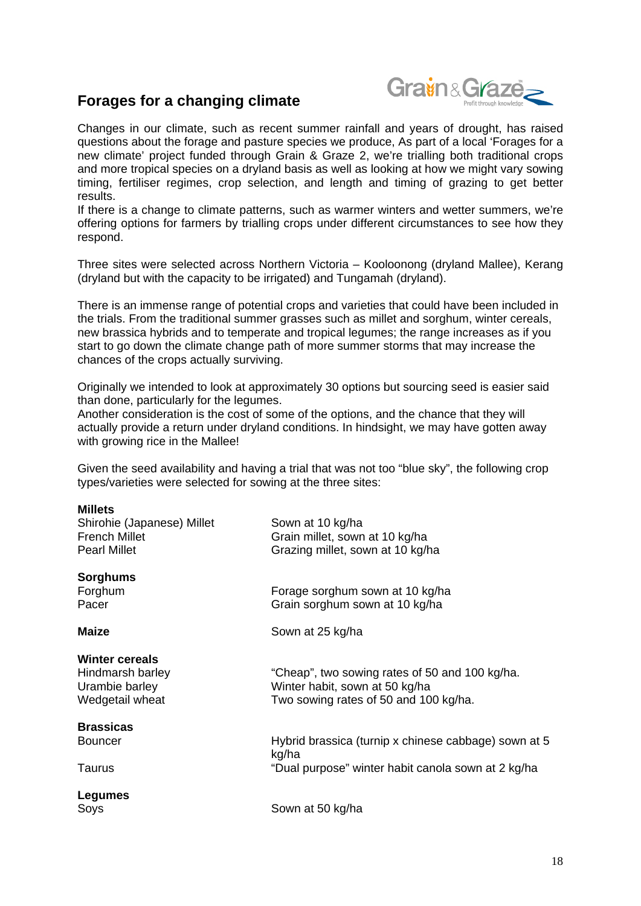## **Forages for a changing climate**



Changes in our climate, such as recent summer rainfall and years of drought, has raised questions about the forage and pasture species we produce, As part of a local 'Forages for a new climate' project funded through Grain & Graze 2, we're trialling both traditional crops and more tropical species on a dryland basis as well as looking at how we might vary sowing timing, fertiliser regimes, crop selection, and length and timing of grazing to get better results.

If there is a change to climate patterns, such as warmer winters and wetter summers, we're offering options for farmers by trialling crops under different circumstances to see how they respond.

Three sites were selected across Northern Victoria – Kooloonong (dryland Mallee), Kerang (dryland but with the capacity to be irrigated) and Tungamah (dryland).

There is an immense range of potential crops and varieties that could have been included in the trials. From the traditional summer grasses such as millet and sorghum, winter cereals, new brassica hybrids and to temperate and tropical legumes; the range increases as if you start to go down the climate change path of more summer storms that may increase the chances of the crops actually surviving.

Originally we intended to look at approximately 30 options but sourcing seed is easier said than done, particularly for the legumes.

Another consideration is the cost of some of the options, and the chance that they will actually provide a return under dryland conditions. In hindsight, we may have gotten away with growing rice in the Mallee!

Given the seed availability and having a trial that was not too "blue sky", the following crop types/varieties were selected for sowing at the three sites:

| <b>Millets</b><br>Shirohie (Japanese) Millet<br><b>French Millet</b><br><b>Pearl Millet</b> | Sown at 10 kg/ha<br>Grain millet, sown at 10 kg/ha<br>Grazing millet, sown at 10 kg/ha<br>Forage sorghum sown at 10 kg/ha<br>Grain sorghum sown at 10 kg/ha |  |
|---------------------------------------------------------------------------------------------|-------------------------------------------------------------------------------------------------------------------------------------------------------------|--|
| <b>Sorghums</b><br>Forghum<br>Pacer                                                         |                                                                                                                                                             |  |
| <b>Maize</b>                                                                                | Sown at 25 kg/ha                                                                                                                                            |  |
| <b>Winter cereals</b><br>Hindmarsh barley<br>Urambie barley<br>Wedgetail wheat              | "Cheap", two sowing rates of 50 and 100 kg/ha.<br>Winter habit, sown at 50 kg/ha<br>Two sowing rates of 50 and 100 kg/ha.                                   |  |
| <b>Brassicas</b><br><b>Bouncer</b><br>Taurus                                                | Hybrid brassica (turnip x chinese cabbage) sown at 5<br>kg/ha<br>"Dual purpose" winter habit canola sown at 2 kg/ha                                         |  |
| Legumes<br>Soys                                                                             | Sown at 50 kg/ha                                                                                                                                            |  |